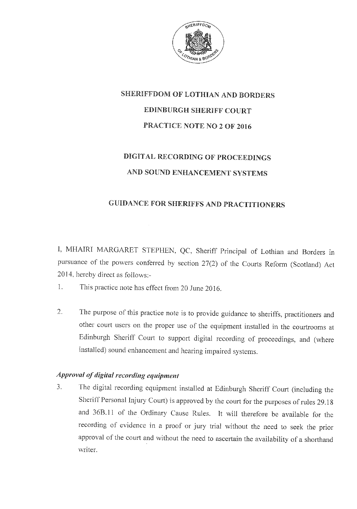

# SHERIFFDOM OF LOTHIAN AND BORDERS **EDINBURGH SHERIFF COURT** PRACTICE NOTE NO 2 OF 2016

## DIGITAL RECORDING OF PROCEEDINGS AND SOUND ENHANCEMENT SYSTEMS

#### **GUIDANCE FOR SHERIFFS AND PRACTITIONERS**

I, MHAIRI MARGARET STEPHEN, QC, Sheriff Principal of Lothian and Borders in pursuance of the powers conferred by section 27(2) of the Courts Reform (Scotland) Act 2014, hereby direct as follows:-

- $\overline{1}$ . This practice note has effect from 20 June 2016.
- $\overline{2}$ . The purpose of this practice note is to provide guidance to sheriffs, practitioners and other court users on the proper use of the equipment installed in the courtrooms at Edinburgh Sheriff Court to support digital recording of proceedings, and (where installed) sound enhancement and hearing impaired systems.

#### Approval of digital recording equipment

The digital recording equipment installed at Edinburgh Sheriff Court (including the  $3.$ Sheriff Personal Injury Court) is approved by the court for the purposes of rules 29.18 and 36B.11 of the Ordinary Cause Rules. It will therefore be available for the recording of evidence in a proof or jury trial without the need to seek the prior approval of the court and without the need to ascertain the availability of a shorthand writer.